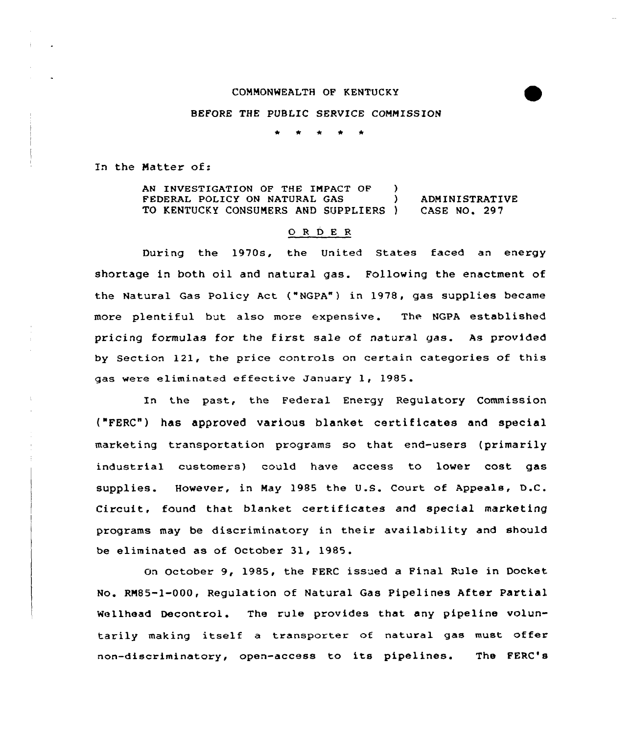### COMMONWEALTH OF KENTUCKY

### BEFORE THE PUBLIC SERVICE COMMISSION

In the Matter of:

AN INVESTIGATION OF THE IMPACT OF )<br>FEDERAL POLICY ON NATURAL GAS FEDERAL POLICY ON NATURAL GAS (aDMINISTRATIVE TO KENTUCKY CONSUMERS AND SUPPLIERS ) CASE NO. 297 TO KENTUCKY CONSUMERS AND SUPPLIERS )

#### 0 <sup>R</sup> <sup>D</sup> <sup>E</sup> <sup>R</sup>

During the 1970s, the United States faced an energy shortage in both oil and natural gas. Following the enactment of the Natural Gas Policy Act ("NGPA") in 1978, gas supplies became more plentiful but also more expensive. The NGPA established pricing formulas for the first sale of natural gas. As provided by Section 121, the price controls on certain categories of this gas were eliminated effective January 1, 1985.

In the past, the Federal Energy Regulatory Commission ("FERC") has approved various blanket certificates and special marketing transportation programs so that end-users (primarily industrial customers) could have access to lower cost gas supplies. However, in May 1985 the U.S. Court of Appeals, D.C. Circuit, found that blanket certificates and special marketing programs may be discriminatory in their availability and should be eliminated as of October 31, 1985.

on October 9, 1985, the FERC issued a Final Rule in Docket No. RM85-1-000, Regulation of Natural Gas Pipelines After Partial Wellhead Decontrol. The rule provides that any pipeline voluntarily making itself <sup>a</sup> transporter of natural gas must offer non-discriminatory, open-access to its pipelines. The FERC's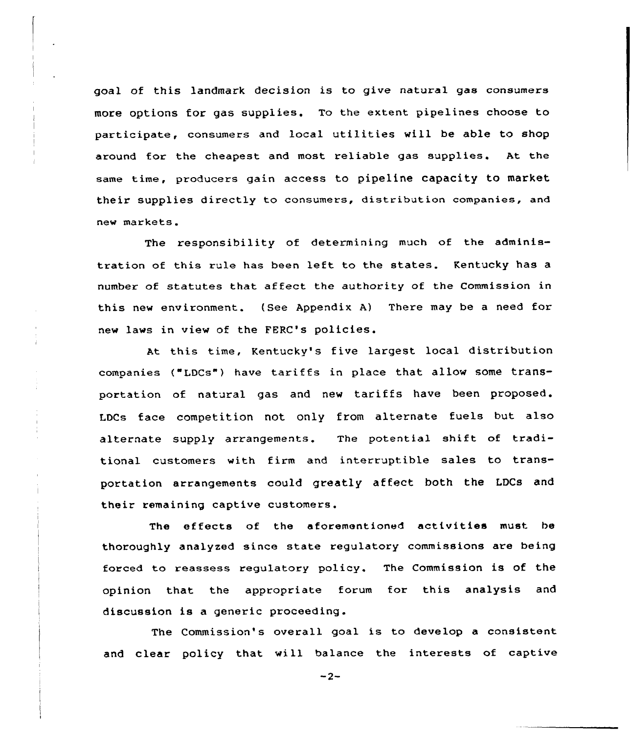goal of this landmark decision is to give natural gas consumers more options for gas supplies. To the extent pipelines choose to participate, consumers and local utilities will be able to shop around for the cheapest and most reliable gas supplies. At the same time, producers gain access to pipeline capacity to market their supplies directly to consumers, distribution companies, and new markets.

The responsibility of determining much of the administration of this rule has been left to the states. Kentucky has <sup>a</sup> number of statutes that affect the authority of the Commission in this new environment. (See Appendix A) There may be a need for new laws in view of the FERC's policies.

At this time, Kentucky's five largest local distribution companies ("LDCs") have tariffs in place that allow some transportation of natural gas and new tariffs have been proposed. LDCs face competition not only from alternate fuels but also alternate supply arrangements. The potential shift of traditional customers with firm and interruptible sales to transportation arrangements could greatly affect both the LDCs and their remaining captive customers.

The effects of the aforementioned activities must be thoroughly analyzed since state regulatory commissions are being forced to reassess regulatory policy. The Commission is of the opinion that the appropriate forum for this analysis and discussion is a generic proceeding.

The Commission's overall goal is to develop a consistent and clear policy that will balance the interests of captive

 $-2-$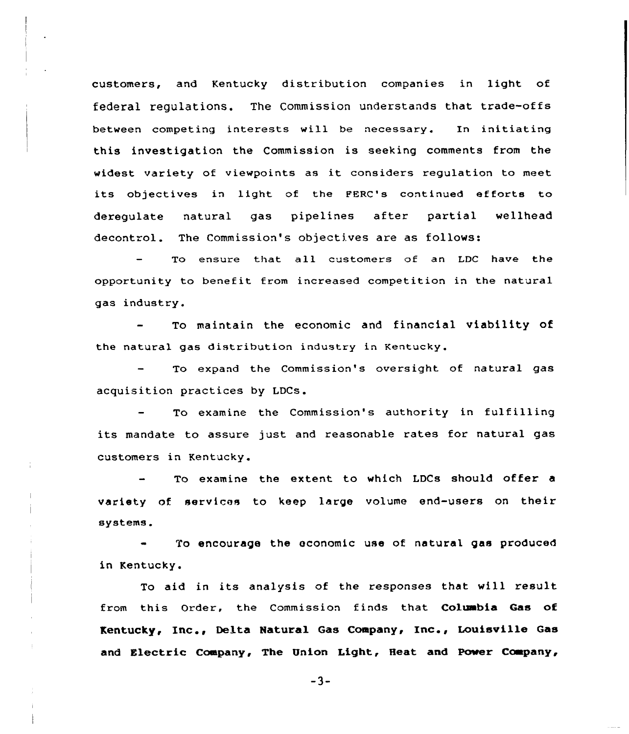customers, and Kentucky distribution companies in light of federal regulations. The Commission understands that trade-offs between competing interests will be necessary. In initiating this investigation the Commission is seeking comments from the widest variety of viewpoints as it considers regulation to meet its objectives in light of the FERC's continued efforts to deregulate natural gas pipelines after partial wellhead decontrol. The Commission's objectives are as follows:

To ensure that all customers of an LDC have the opportunity to benefit from increased competition in the natural gas industry.

To maintain the economic and financial viability of the natural gas distribution industry in Kentucky.

To expand the Commission's oversight of natural gas acquisition practices by LDCs.

To examine the Commission's authority in fulfilling its mandate to assure just and reasonable rates for natural gas customers in Kentucky.

To examine the extent to which LDCs should offer a variety of services to keep large volume end-users on their systems.

To encourage the economic use of natural gas produced in Kentucky.

To aid in its analysis of the responses that will result from this Order, the Commission finds that Columbia Gas of Kentucky, Inc., Delta Natural Gas Company, Inc., Louisville Gas and Electric Company, The Union Light, Heat and Power Company,

 $-3-$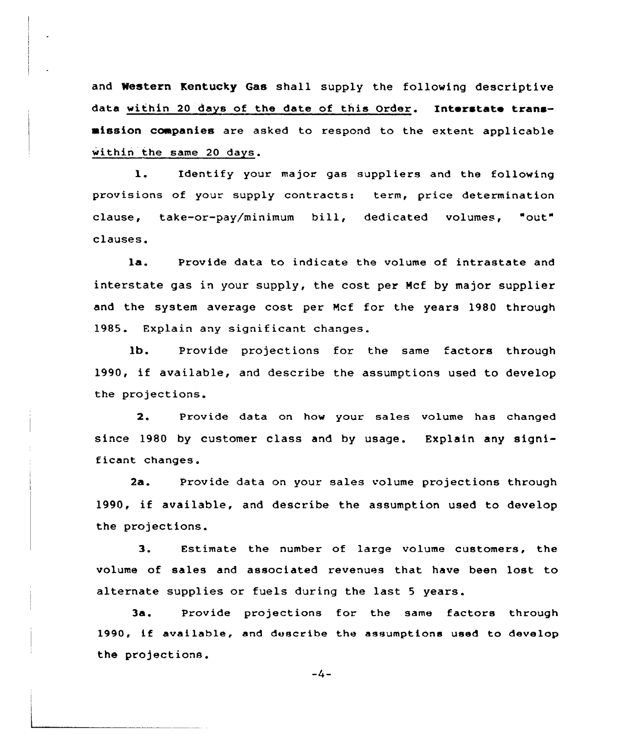and Western Kentucky Gas shall supply the following descriptive data within 20 days of the date of this Order. Interstate transmission companies are asked to respond to the extent applicable within the same 20 days.

l. Identify your major gas suppliers and the following provisions of your supply contracts: term, price determination clause, take-or-pay/minimum bill, dedicated volumes, "out" clauses.

la. Provide data to indicate the volume of intrastate and interstate gas in your supply, the cost per Ncf by major supplier and the system average cost per Mcf for the years 1980 through 1985. Explain any significant changes.

lb. Provide projections for the same factors through 1990, if available, and describe the assumptions used to develop the projections.

2. Provide data on how your sales volume has changed since 1980 by customer class and by usage. Explain any significant changes.

2a. Provide data on your sales volume projections through 1990, if available, and describe the assumption used to develop the projections.

3. Estimate the number of laxge volume customers, the volume of sales and associated revenues that have been lost to alternate supplies or fuels during the last <sup>5</sup> years.

3a. Provide projections for the same factors through 1990, if available, and describe the assumptions used to develop the projections.

-4-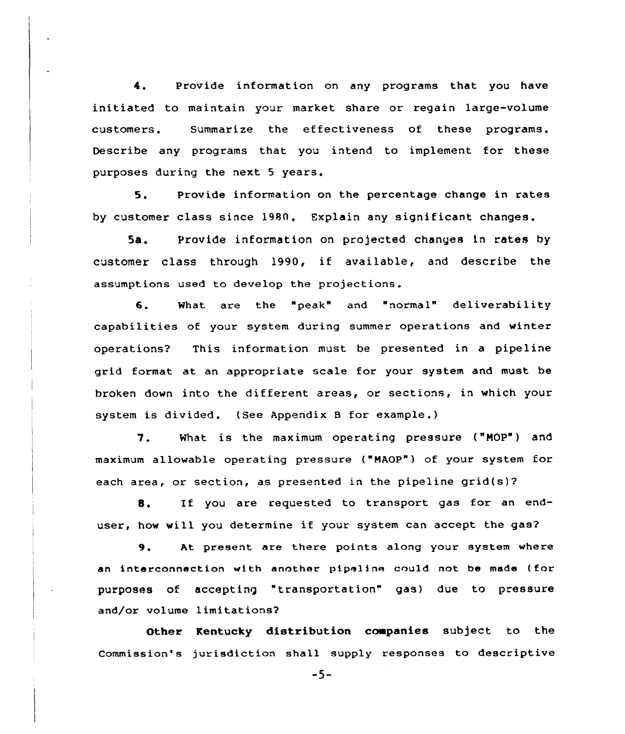4. Provide information on any programs that you have initiated to maintain your market share or regain large-volume customers . Summarize the effectiveness of these programs. Describe any programs that you intend to implement for these purposes during the next 5 years.

5. Provide information on the percentage change in rates by customer class since 1980. Explain any significant changes.

5a. Provide information on projected changes in rates by customer class through 1990, if available, and describe the assumptions used to develop the projections.

6. What are the "peak" and "normal" deliverability capabilities of your system during summer operations and winter operations? This information must be presented in a pipeline grid format at an appropriate scale for your system and must be broken down into the different areas, or sections, in which your system is divided. (See Appendix B for example.)

7. What is the maximum operating pressure ("MOP") and maximum allowable operating pressure ("MAOP") of your system for each area, or section, as presented in the pipeline grid(s)?

8. If you are requested to transport gas for an enduser, how will you determine if your system can accept the gas?

9. At present are there points along your system where an interconnection with another pipeline could not be made (for purposes of accepting transportation" gas) due to pressure and/or volume limitations?

Other Kentucky distribution coapanies subject to the Commission's jurisdiction shall supply responses to descriptive

-5-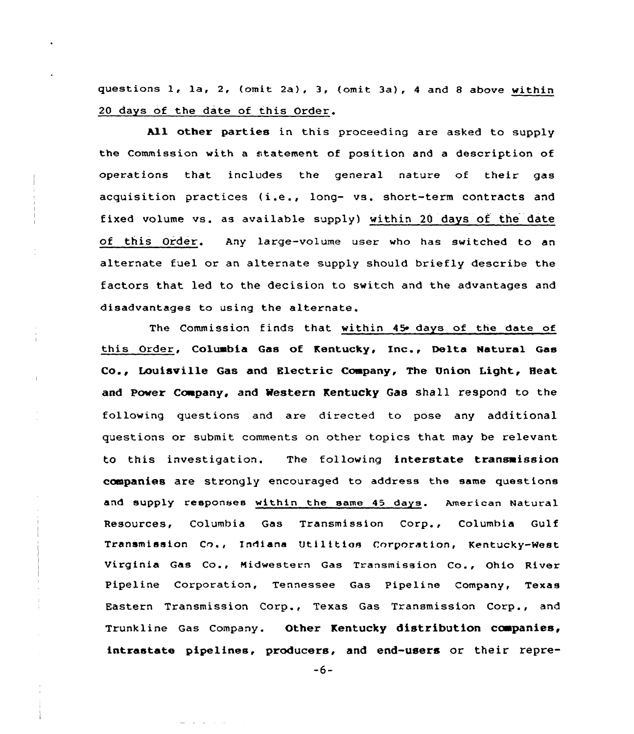questions 1, la, 2, (omit 2a}, 3, (omit 3a}, <sup>4</sup> and <sup>8</sup> above within 20 days of the date of this Order.

All other parties in this proceeding are asked to supply the Commission with a statement of position and a description of operations that includes the general nature of their gas acquisition practices (i.e., long- vs. short-term contracts and fixed volume vs. as available supply) within 20 days of the date of this Order. Any large-volume user who has switched to an alternate fuel or an alternate supply should briefly describe the factors that led to the decision to switch and the advantages and disadvantages to using the alternate.

The Commission finds that within 45 days of the date of this Ordex, Coluabia Gas of Kentucky, inc., Delta Natural Gas Co., Louisville Gas and Electric Company, The Union Light, Heat and Power Company, and Western Kentucky Gas shall respond to the following questions and axe directed to pose any additional questions or submit comments on other topics that may be xelevant to this investigation. The following interstate transmission companies are strongly encouraged to address the same questions and supply responses within the same 45 days. American Natural Resources, Columbia Gas Transmission Corp., Columbia Gulf Transmission Co., Indiana Utilitios Corporation, Kentucky-West Virginia Gas Co., Midwestern Gas Transmission Co., Ohio River Pipeline Corporation, Tennessee Gas Pipeline Company, Texas Eastern Transmission Corp., Texas Gas Transmission Corp., and Trunkline Gas Company. Other Kentucky distribution ccmpanies, intrastate pipelines, producers, and end-users or their repre-

-6-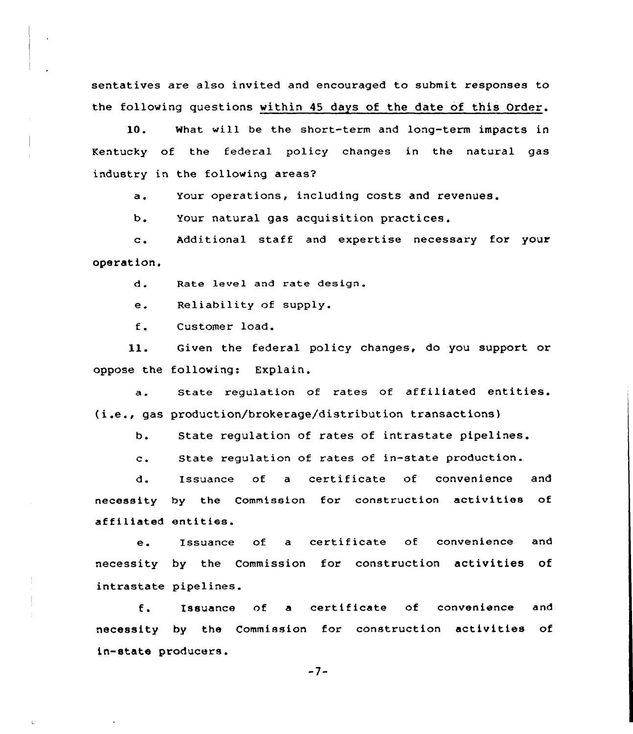sentatives are also invited and encouraged to submit responses to the following questions within 45 days of the date of this Order.

10. what will be the short-term and long-term impacts in Kentucky of the federal policy changes in the natural gas industry in the following areas?

a. Your operations, including costs and revenues.

Your natural gas acquisition practices.  $b.$ 

c. Additional staff and expertise necessary for your operation.

d. Rate level and rate design.

e. Reliability of supply.

f. Customer load.

ll. Given the federal pclicy changes, do you support or oppose the following: Explain.

a. State regulation of rates of affiliated entities. (i.e., gas production/brokerage/distribution transactions)

 $b.$ State regulation of rates of intrastate pipelines.

State regulation of rates of in-state production.  $c_{\star}$ 

d. Issuance of a certificate of convenience and necessity by the Commission for construction activities of affiliated entities.

e. Issuance of <sup>a</sup> certificate of convenience and necessity by the Commission for construction activities of intrastate pipelines.

 $f_{\bullet}$ Issuance of a certificate of convenience and necessity by the Commission for construction activities of in-state producers.

-7-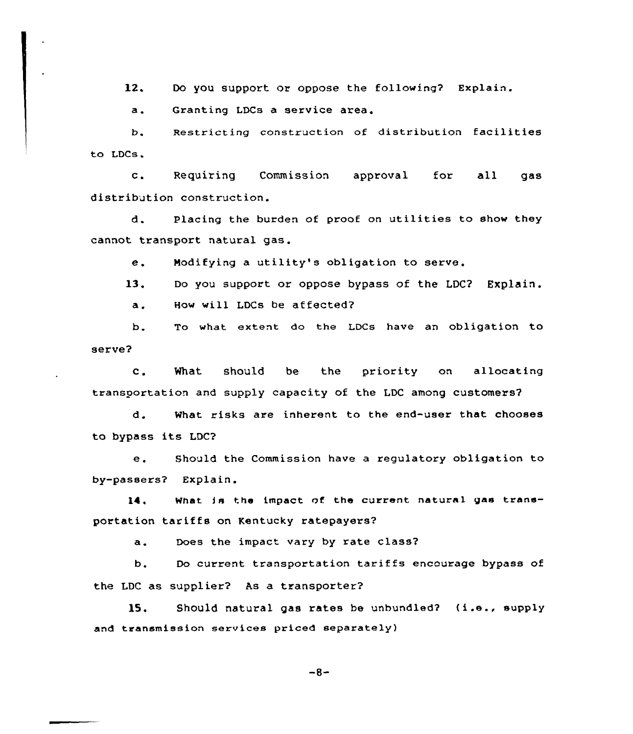$12.$ Do you support or oppose the following? Explain.

a. Granting LDCs <sup>a</sup> service area,

b. Restricting construction of distribution facilities to LDCs.

c. Requiring Commission approval for all gas distribution construction.

d. Placing the burden of proof on utilities to show they cannot transport natural gas.

e. Modifying <sup>a</sup> utility's obligation to serve.

13. Do you support or oppose bypass of the LDC? Explain. a. How will LDCs be affected?

b. To what extent do the LDCs have an obligation to serve?

c. What should be the priority on allocating transoortation and supply capacity of the LDC among customers?

d. What risks are inherent to the end-user that chooses to bypass its LDC'2

e. Should the Commission have <sup>a</sup> regulatory obligation to by-passers? Explain.

14. What Is the impact of the current natural gas transportation tariffs on Kentucky ratepayers?

a. Does the impact vary by rate class?

b. Do current transportation tariffs encourage bypass of the LDC as supplier? As a transporter?

15. Should natural gas rates be unbundled? (i.e., supply and transmission services priced separately)

 $-8-$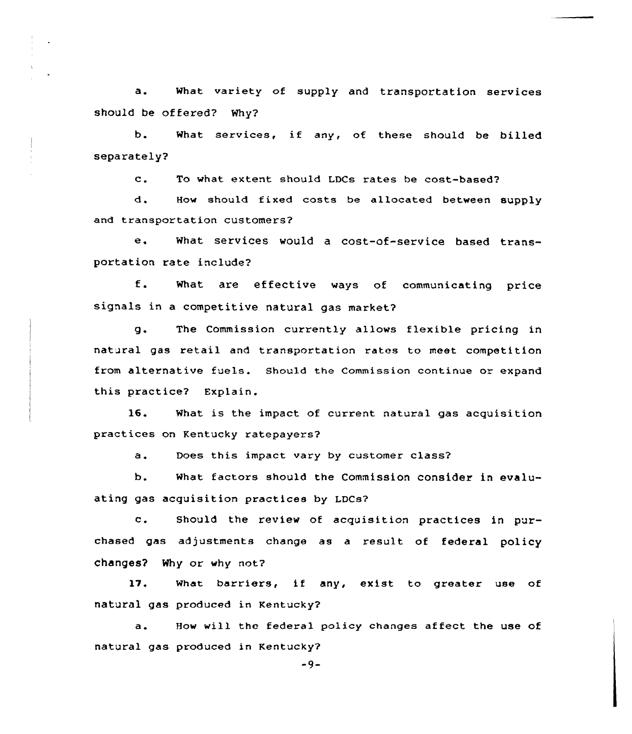a. What variety of supply and transportation. services should be offered? Why?

b. What services, if any, of these should be billed separately?

c. To what extent should LDCs rates be cost-based'?

d. How should fixed costs be allocated between supply and transportation customers?

e. What services would <sup>a</sup> cost-of-service based transportation rate include?

f. What are effective ways of communicating price signals in a competitive natural gas market7

g. The Commission currently allows flexible pricing in natural gas retail and transportation rates to meet competition from alternative fuels. Should the Commission continue or expand this practice? Explain.

 $16.$ What is the impact of current natural gas acquisition practices on Kentucky ratepayers?

a. Does this impact vary by customer class?

b. what factors should the Commission consider in evaluating gas acquisition practices by LDCs?

c. Should the review of acquisition practices in purchased gas adjustments change as a result of federal policy changes? Why or why not?

 $17.$ What barriers, if any, exist to greater use of natural gas produced in Kentucky7

a. How will the federal policy changes affect the use of natural gas produced in Kentucky?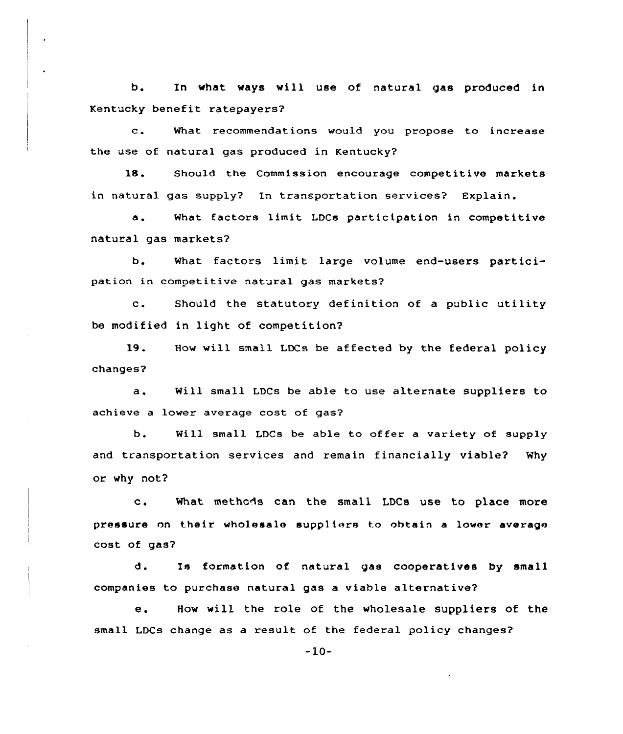b. In what ways will use of natural gas produced in Kentucky benefit ratepayers?

What recommendations would you propose to increase  $\mathbf{c}$ . the use of natural gas produced in Kentucky?

18. Should the Commission encourage competitive markets in natural gas supply? In transportation services? Explain.

a. What factors limit LDCs participation in competitive natural gas markets?

b. What factors limit large volume end-users participation in competitive natural gas markets?

c. Should the statutory definition of <sup>a</sup> public utility be modified in light of competition7

19. How will small LDCs be affected by the federal policy changes7

a. Will small LDCs be able to use alternate suppliers to achieve a lower average cost of gas?

b. Will small LDCs be able to offer a variety of supply and transportation services and remain financially viable? Why or why not?

c. What methcds can the small LDCs use to place more pressure on their wholesale suppliers to obtain a lower average cost of gas?

d. Is formation of natural gas cooperatives by small companies to purchase natural gas a viable alternative?

e. How will the role of the wholesale suppliers of the small LDCs change as a result of the federal policy changes?

-10-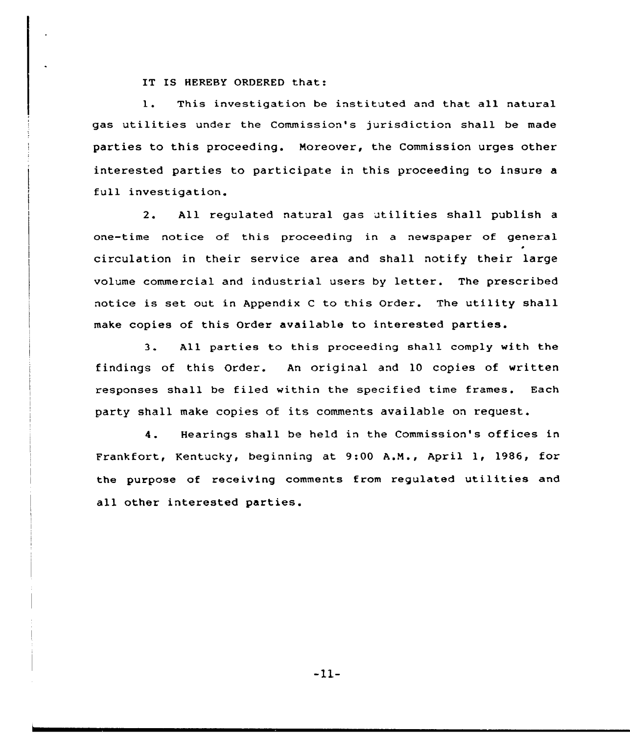IT IS HEREBY ORDERED that:

1. This investigation be instituted and that all natural gas utilities under the Commission's jurisdiction shall be made parties to this proceeding. Moreover, the Commission urges other interested parties to participate in this proceeding to insure a full investigation.

2. All regulated natural gas utilities shall publish <sup>a</sup> one-time notice of this proceeding in a newspaper of general circulation in their service axea and shall notify their large volume commexcial and industrial users by letter. The prescribed notice is set out in Appendix C to this Order. The utility shall make copies of this Order available to interested parties.

3. All parties to this pxoceeding shall comply with the findings of this Order. An original and 10 copies of written responses shall be filed within the specified time frames. Each party shall make copies of its comments available on request.

4. Hearings shall be held in the Commission's offices in Fxankfoxt, Kentucky, beginning at 9:00 A.N., April 1, 1986, for the purpose of xeceiving comments from regulated utilities and all other interested parties.

-11-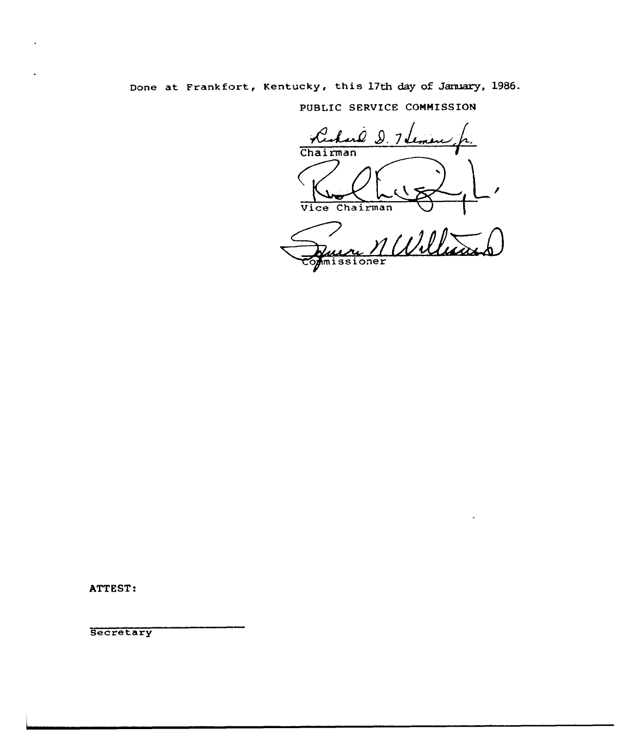# Done at Frankfort, Kentucky, this 17th day of January, 1986.

PUBLIC SERVICE COMMISSION

Ruhard D. 1 Jenuir / Vice Chairman Ruece M Willes

ATTEST:

**Secretary**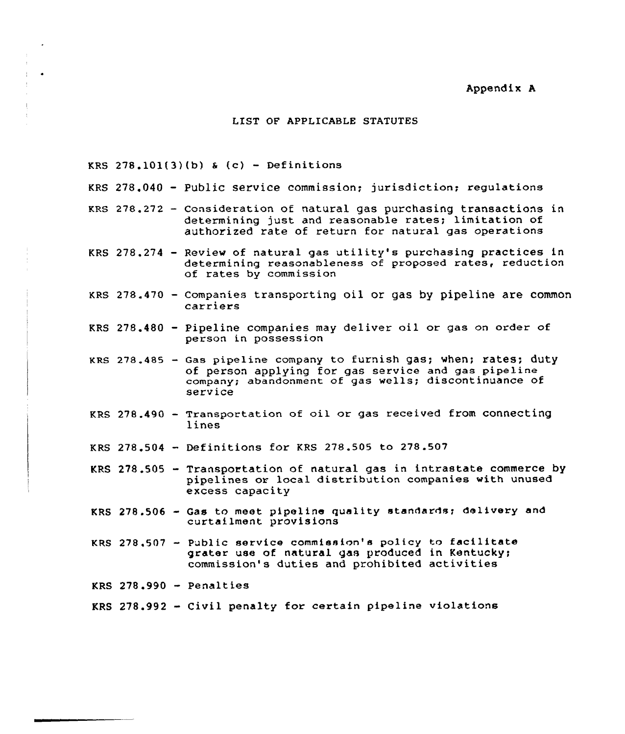### Appendix A

## LIST OF APPLICABLE STATUTES

KRS  $278.101(3)(b)$  & (c) - Definitions

- KRS 278.040 Public service commission; jurisdiction; regulation
- KRS 278.272 Consideration of natural gas purchasing transactions in determining just and reasonable rates; limitation of authorized rate of return for natural gas operations
- KRS 278.274 Review of natural gas utility's purchasing practices in determining reasonableness of proposed rates, reduction of rates by commission
- KRS 278.470 Companies transporting oil or g<mark>as by pipeline are commo</mark> carriers
- KRS 278.480 Pipeline companies may deliver oil or gas on order of person in possession
- KRS 278.485 Gas pipeline company to furnish gas; when; rates; dut of person applying for gas service and gas pipeline company; abandonment of gas wells; discontinuance of service
- KRS  $278.490$  Transportation of oil or gas received from connecting lines
- KRS 278.504 Definitions for KRS 278.505 to 278.507
- KRS 278.505 Transportation of natural gas in intrastate commerce by pipelines or local distribution companies with unused excess capacity
- KRS 278.506 Gas to meet pipeline quality standards; delivery and curtailment provisions
- KRS 278.507 Public service commission's policy to facilitat grater use of natural gas produced in Kentucky; commission's duties and prohibited activities

KRS 278.990 - Penaltie

KRS 278.992 - Civil penalty for certain pipeline violations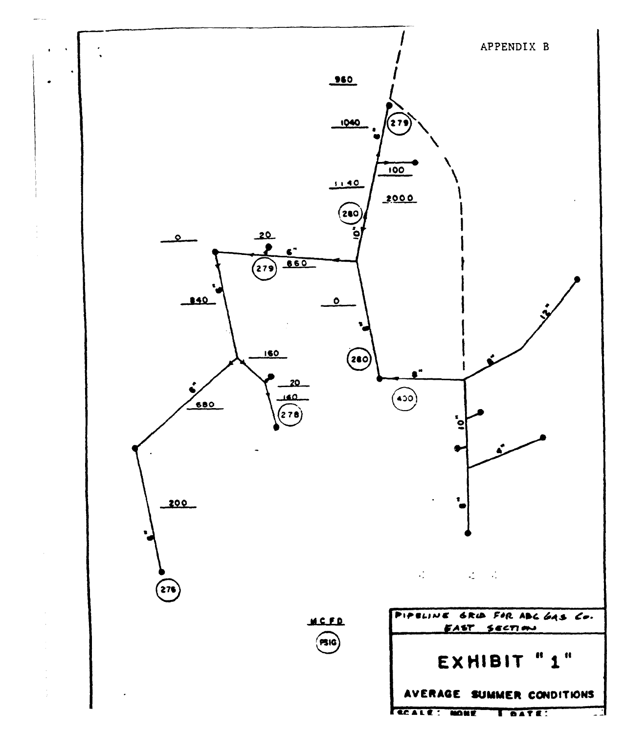